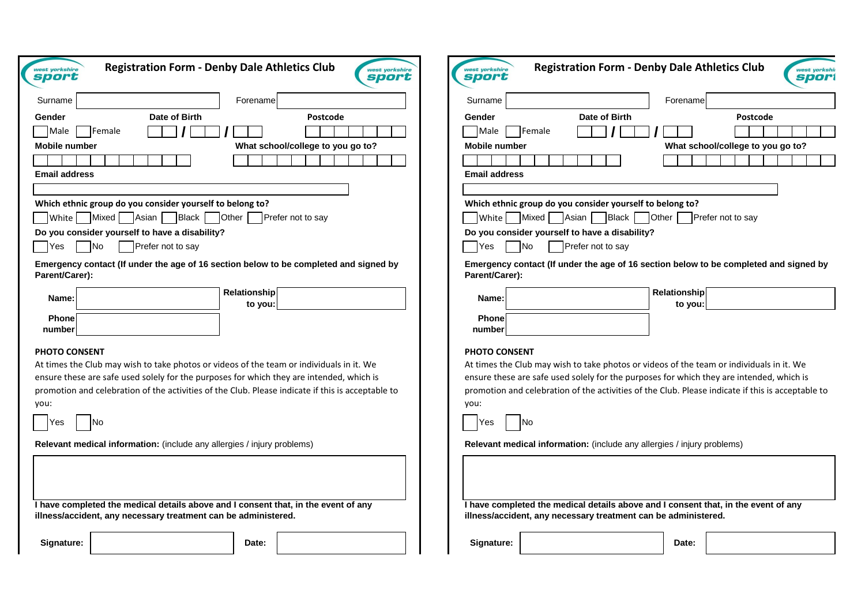| <b>Registration Form - Denby Dale Athletics Club</b><br>west yorkshire<br>west yorkshire<br>sport<br>sport       | <b>Registration Form - Denby Dale Athletics Club</b><br>west yorkshire<br>S<br>sport                             |  |  |
|------------------------------------------------------------------------------------------------------------------|------------------------------------------------------------------------------------------------------------------|--|--|
| Surname<br>Forename                                                                                              | Surname<br>Forename                                                                                              |  |  |
| Date of Birth<br>Gender<br>Postcode                                                                              | Date of Birth<br>Gender<br>Postcode                                                                              |  |  |
| Male<br>Female                                                                                                   | Male<br>Female                                                                                                   |  |  |
| What school/college to you go to?<br>Mobile number                                                               | <b>Mobile number</b><br>What school/college to you go to?                                                        |  |  |
|                                                                                                                  |                                                                                                                  |  |  |
| <b>Email address</b>                                                                                             | <b>Email address</b>                                                                                             |  |  |
|                                                                                                                  |                                                                                                                  |  |  |
| Which ethnic group do you consider yourself to belong to?                                                        | Which ethnic group do you consider yourself to belong to?                                                        |  |  |
| White Mixed Asian Black Other Prefer not to say                                                                  | White Mixed Asian Black Other Prefer not to say                                                                  |  |  |
| Do you consider yourself to have a disability?                                                                   | Do you consider yourself to have a disability?                                                                   |  |  |
| Prefer not to say<br><b>No</b><br><b>PYes</b>                                                                    | Prefer not to say<br>No<br><b>Yes</b>                                                                            |  |  |
| Emergency contact (If under the age of 16 section below to be completed and signed by<br>Parent/Carer):          | Emergency contact (If under the age of 16 section below to be completed and sign<br>Parent/Carer):               |  |  |
| Relationship<br>Name:<br>to you:                                                                                 | Relationship<br>Name:<br>to you:                                                                                 |  |  |
| Phone<br>number                                                                                                  | Phonel<br>number                                                                                                 |  |  |
|                                                                                                                  |                                                                                                                  |  |  |
| <b>PHOTO CONSENT</b><br>At times the Club may wish to take photos or videos of the team or individuals in it. We | <b>PHOTO CONSENT</b><br>At times the Club may wish to take photos or videos of the team or individuals in it. We |  |  |
| ensure these are safe used solely for the purposes for which they are intended, which is                         | ensure these are safe used solely for the purposes for which they are intended, which is                         |  |  |
| promotion and celebration of the activities of the Club. Please indicate if this is acceptable to                | promotion and celebration of the activities of the Club. Please indicate if this is accepta                      |  |  |
| you:                                                                                                             | you:                                                                                                             |  |  |
| <b>IYes</b><br>INo                                                                                               | No<br>Yes                                                                                                        |  |  |
| Relevant medical information: (include any allergies / injury problems)                                          | Relevant medical information: (include any allergies / injury problems)                                          |  |  |
|                                                                                                                  |                                                                                                                  |  |  |
|                                                                                                                  |                                                                                                                  |  |  |
| I have completed the medical details above and I consent that, in the event of any                               | I have completed the medical details above and I consent that, in the event of any                               |  |  |
|                                                                                                                  |                                                                                                                  |  |  |

**illness/accident, any necessary treatment can be administered.**

Signature: **Date: Date: Date:** 

| Forename<br>Surname<br>Date of Birth<br>Postcode<br>Male<br>Female<br><b>Mobile number</b><br>What school/college to you go to?<br><b>Email address</b><br>Which ethnic group do you consider yourself to belong to?<br>Mixed Asian<br><b>Black</b><br>Other<br>Prefer not to say<br>White<br>Do you consider yourself to have a disability?<br>No<br>Yes<br>Prefer not to say<br>Emergency contact (If under the age of 16 section below to be completed and signed by<br>Parent/Carer):<br>Relationship<br>Name:<br>to you:<br>Phone<br>number<br><b>PHOTO CONSENT</b><br>At times the Club may wish to take photos or videos of the team or individuals in it. We<br>ensure these are safe used solely for the purposes for which they are intended, which is<br>promotion and celebration of the activities of the Club. Please indicate if this is acceptable to<br><b>No</b><br>Yes<br>Relevant medical information: (include any allergies / injury problems)<br>I have completed the medical details above and I consent that, in the event of any<br>illness/accident, any necessary treatment can be administered. | west yorkshire<br>sport | <b>Registration Form - Denby Dale Athletics Club</b> | west yorkshir<br>spor |
|------------------------------------------------------------------------------------------------------------------------------------------------------------------------------------------------------------------------------------------------------------------------------------------------------------------------------------------------------------------------------------------------------------------------------------------------------------------------------------------------------------------------------------------------------------------------------------------------------------------------------------------------------------------------------------------------------------------------------------------------------------------------------------------------------------------------------------------------------------------------------------------------------------------------------------------------------------------------------------------------------------------------------------------------------------------------------------------------------------------------------|-------------------------|------------------------------------------------------|-----------------------|
|                                                                                                                                                                                                                                                                                                                                                                                                                                                                                                                                                                                                                                                                                                                                                                                                                                                                                                                                                                                                                                                                                                                              |                         |                                                      |                       |
|                                                                                                                                                                                                                                                                                                                                                                                                                                                                                                                                                                                                                                                                                                                                                                                                                                                                                                                                                                                                                                                                                                                              | Gender                  |                                                      |                       |
|                                                                                                                                                                                                                                                                                                                                                                                                                                                                                                                                                                                                                                                                                                                                                                                                                                                                                                                                                                                                                                                                                                                              |                         |                                                      |                       |
|                                                                                                                                                                                                                                                                                                                                                                                                                                                                                                                                                                                                                                                                                                                                                                                                                                                                                                                                                                                                                                                                                                                              |                         |                                                      |                       |
|                                                                                                                                                                                                                                                                                                                                                                                                                                                                                                                                                                                                                                                                                                                                                                                                                                                                                                                                                                                                                                                                                                                              |                         |                                                      |                       |
|                                                                                                                                                                                                                                                                                                                                                                                                                                                                                                                                                                                                                                                                                                                                                                                                                                                                                                                                                                                                                                                                                                                              |                         |                                                      |                       |
|                                                                                                                                                                                                                                                                                                                                                                                                                                                                                                                                                                                                                                                                                                                                                                                                                                                                                                                                                                                                                                                                                                                              |                         |                                                      |                       |
|                                                                                                                                                                                                                                                                                                                                                                                                                                                                                                                                                                                                                                                                                                                                                                                                                                                                                                                                                                                                                                                                                                                              |                         |                                                      |                       |
|                                                                                                                                                                                                                                                                                                                                                                                                                                                                                                                                                                                                                                                                                                                                                                                                                                                                                                                                                                                                                                                                                                                              |                         |                                                      |                       |
|                                                                                                                                                                                                                                                                                                                                                                                                                                                                                                                                                                                                                                                                                                                                                                                                                                                                                                                                                                                                                                                                                                                              |                         |                                                      |                       |
|                                                                                                                                                                                                                                                                                                                                                                                                                                                                                                                                                                                                                                                                                                                                                                                                                                                                                                                                                                                                                                                                                                                              |                         |                                                      |                       |
|                                                                                                                                                                                                                                                                                                                                                                                                                                                                                                                                                                                                                                                                                                                                                                                                                                                                                                                                                                                                                                                                                                                              |                         |                                                      |                       |
|                                                                                                                                                                                                                                                                                                                                                                                                                                                                                                                                                                                                                                                                                                                                                                                                                                                                                                                                                                                                                                                                                                                              |                         |                                                      |                       |
|                                                                                                                                                                                                                                                                                                                                                                                                                                                                                                                                                                                                                                                                                                                                                                                                                                                                                                                                                                                                                                                                                                                              |                         |                                                      |                       |
|                                                                                                                                                                                                                                                                                                                                                                                                                                                                                                                                                                                                                                                                                                                                                                                                                                                                                                                                                                                                                                                                                                                              | you:                    |                                                      |                       |
|                                                                                                                                                                                                                                                                                                                                                                                                                                                                                                                                                                                                                                                                                                                                                                                                                                                                                                                                                                                                                                                                                                                              |                         |                                                      |                       |
|                                                                                                                                                                                                                                                                                                                                                                                                                                                                                                                                                                                                                                                                                                                                                                                                                                                                                                                                                                                                                                                                                                                              |                         |                                                      |                       |
|                                                                                                                                                                                                                                                                                                                                                                                                                                                                                                                                                                                                                                                                                                                                                                                                                                                                                                                                                                                                                                                                                                                              |                         |                                                      |                       |
|                                                                                                                                                                                                                                                                                                                                                                                                                                                                                                                                                                                                                                                                                                                                                                                                                                                                                                                                                                                                                                                                                                                              |                         |                                                      |                       |
| Signature:<br>Date:                                                                                                                                                                                                                                                                                                                                                                                                                                                                                                                                                                                                                                                                                                                                                                                                                                                                                                                                                                                                                                                                                                          |                         |                                                      |                       |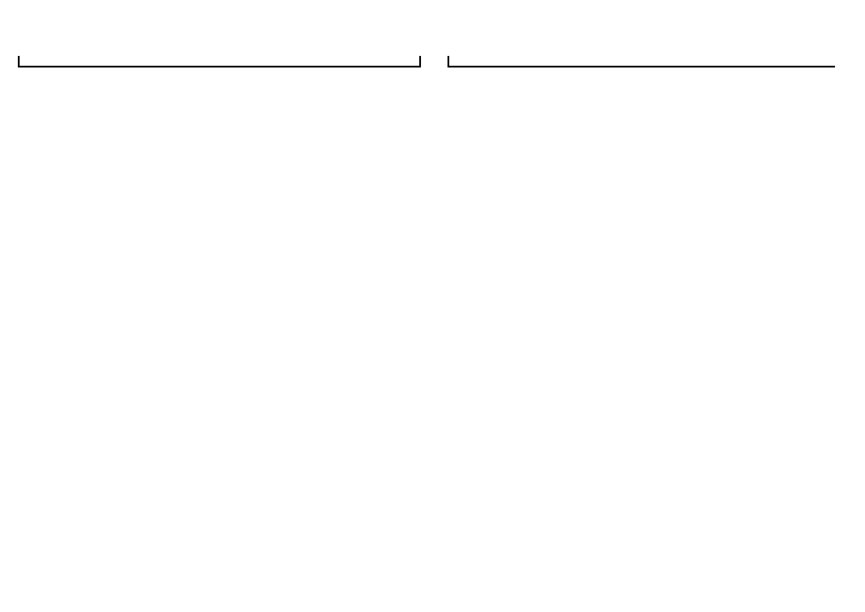<u> 2008 - Andrea State Barbara, politika establecia establecia establecia establecia establecia establecia estab</u>